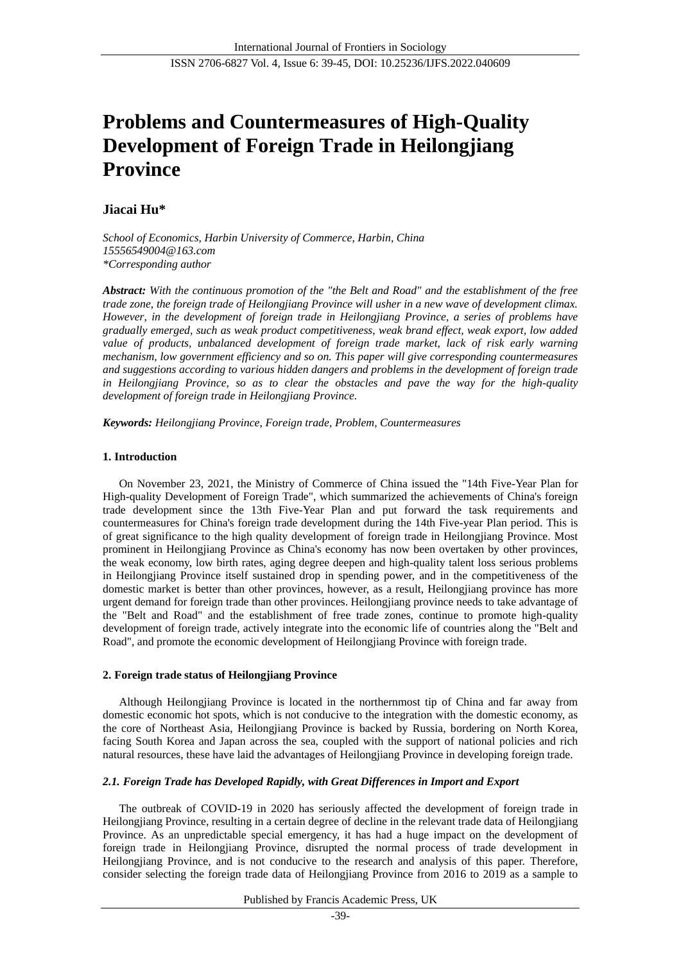# **Problems and Countermeasures of High-Quality Development of Foreign Trade in Heilongjiang Province**

# **Jiacai Hu\***

*School of Economics, Harbin University of Commerce, Harbin, China 15556549004@163.com \*Corresponding author*

*Abstract: With the continuous promotion of the "the Belt and Road" and the establishment of the free trade zone, the foreign trade of Heilongjiang Province will usher in a new wave of development climax. However, in the development of foreign trade in Heilongjiang Province, a series of problems have gradually emerged, such as weak product competitiveness, weak brand effect, weak export, low added value of products, unbalanced development of foreign trade market, lack of risk early warning mechanism, low government efficiency and so on. This paper will give corresponding countermeasures and suggestions according to various hidden dangers and problems in the development of foreign trade in Heilongjiang Province, so as to clear the obstacles and pave the way for the high-quality development of foreign trade in Heilongjiang Province.*

*Keywords: Heilongjiang Province, Foreign trade, Problem, Countermeasures*

## **1. Introduction**

On November 23, 2021, the Ministry of Commerce of China issued the "14th Five-Year Plan for High-quality Development of Foreign Trade", which summarized the achievements of China's foreign trade development since the 13th Five-Year Plan and put forward the task requirements and countermeasures for China's foreign trade development during the 14th Five-year Plan period. This is of great significance to the high quality development of foreign trade in Heilongjiang Province. Most prominent in Heilongjiang Province as China's economy has now been overtaken by other provinces, the weak economy, low birth rates, aging degree deepen and high-quality talent loss serious problems in Heilongjiang Province itself sustained drop in spending power, and in the competitiveness of the domestic market is better than other provinces, however, as a result, Heilongjiang province has more urgent demand for foreign trade than other provinces. Heilongjiang province needs to take advantage of the "Belt and Road" and the establishment of free trade zones, continue to promote high-quality development of foreign trade, actively integrate into the economic life of countries along the "Belt and Road", and promote the economic development of Heilongjiang Province with foreign trade.

# **2. Foreign trade status of Heilongjiang Province**

Although Heilongjiang Province is located in the northernmost tip of China and far away from domestic economic hot spots, which is not conducive to the integration with the domestic economy, as the core of Northeast Asia, Heilongjiang Province is backed by Russia, bordering on North Korea, facing South Korea and Japan across the sea, coupled with the support of national policies and rich natural resources, these have laid the advantages of Heilongjiang Province in developing foreign trade.

# *2.1. Foreign Trade has Developed Rapidly, with Great Differences in Import and Export*

The outbreak of COVID-19 in 2020 has seriously affected the development of foreign trade in Heilongjiang Province, resulting in a certain degree of decline in the relevant trade data of Heilongjiang Province. As an unpredictable special emergency, it has had a huge impact on the development of foreign trade in Heilongjiang Province, disrupted the normal process of trade development in Heilongjiang Province, and is not conducive to the research and analysis of this paper. Therefore, consider selecting the foreign trade data of Heilongjiang Province from 2016 to 2019 as a sample to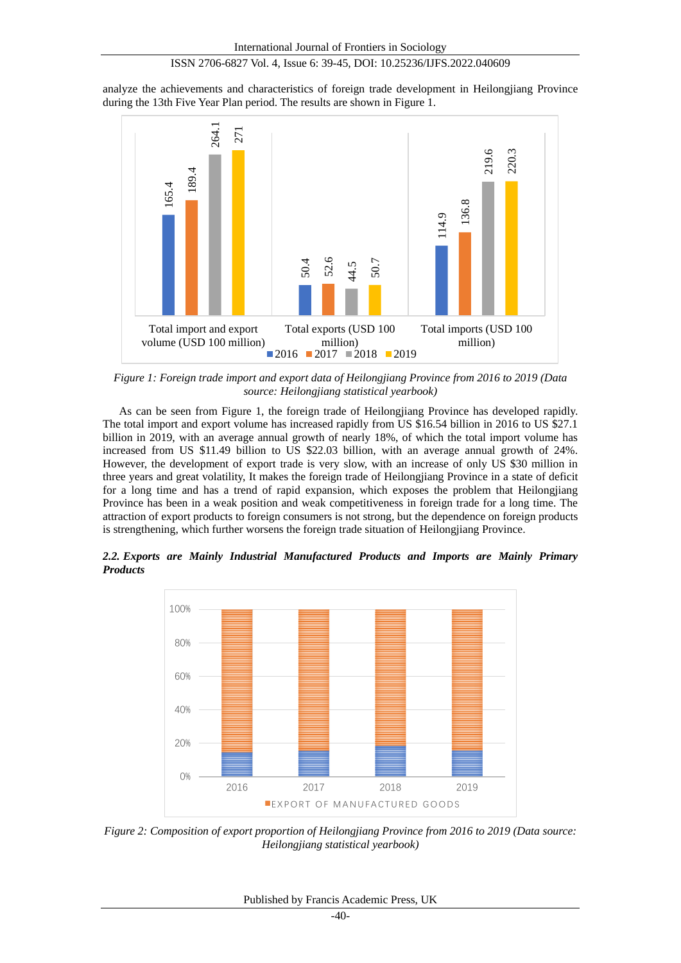analyze the achievements and characteristics of foreign trade development in Heilongjiang Province during the 13th Five Year Plan period. The results are shown in Figure 1.



*Figure 1: Foreign trade import and export data of Heilongjiang Province from 2016 to 2019 (Data source: Heilongjiang statistical yearbook)*

As can be seen from Figure 1, the foreign trade of Heilongjiang Province has developed rapidly. The total import and export volume has increased rapidly from US \$16.54 billion in 2016 to US \$27.1 billion in 2019, with an average annual growth of nearly 18%, of which the total import volume has increased from US \$11.49 billion to US \$22.03 billion, with an average annual growth of 24%. However, the development of export trade is very slow, with an increase of only US \$30 million in three years and great volatility, It makes the foreign trade of Heilongjiang Province in a state of deficit for a long time and has a trend of rapid expansion, which exposes the problem that Heilongjiang Province has been in a weak position and weak competitiveness in foreign trade for a long time. The attraction of export products to foreign consumers is not strong, but the dependence on foreign products is strengthening, which further worsens the foreign trade situation of Heilongjiang Province.

*2.2. Exports are Mainly Industrial Manufactured Products and Imports are Mainly Primary Products*



*Figure 2: Composition of export proportion of Heilongjiang Province from 2016 to 2019 (Data source: Heilongjiang statistical yearbook)*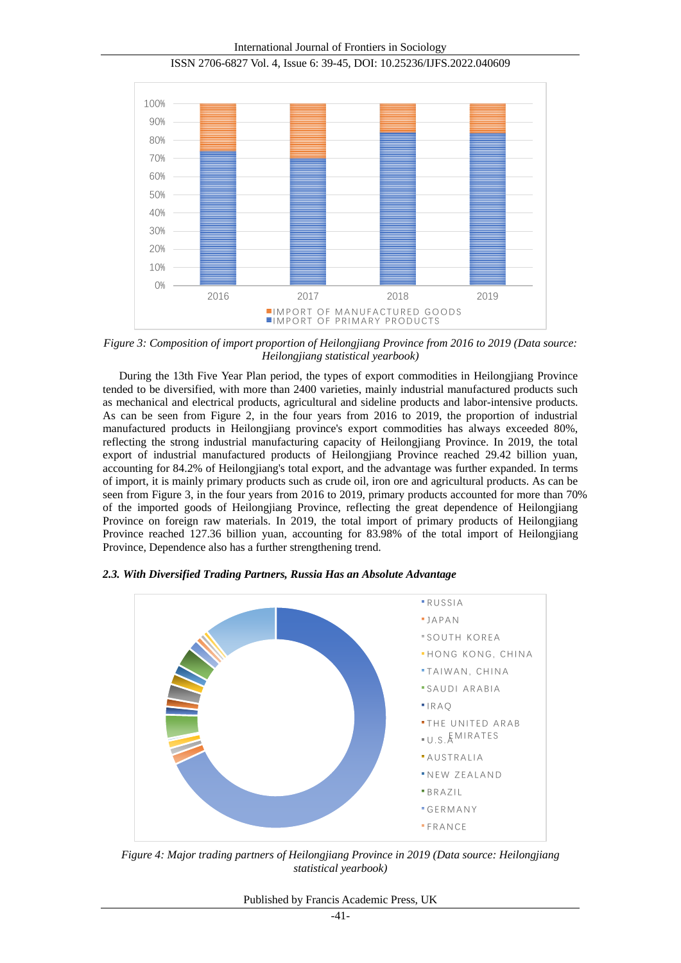International Journal of Frontiers in Sociology



ISSN 2706-6827 Vol. 4, Issue 6: 39-45, DOI: 10.25236/IJFS.2022.040609

*Figure 3: Composition of import proportion of Heilongjiang Province from 2016 to 2019 (Data source: Heilongjiang statistical yearbook)*

During the 13th Five Year Plan period, the types of export commodities in Heilongjiang Province tended to be diversified, with more than 2400 varieties, mainly industrial manufactured products such as mechanical and electrical products, agricultural and sideline products and labor-intensive products. As can be seen from Figure 2, in the four years from 2016 to 2019, the proportion of industrial manufactured products in Heilongjiang province's export commodities has always exceeded 80%, reflecting the strong industrial manufacturing capacity of Heilongjiang Province. In 2019, the total export of industrial manufactured products of Heilongjiang Province reached 29.42 billion yuan, accounting for 84.2% of Heilongjiang's total export, and the advantage was further expanded. In terms of import, it is mainly primary products such as crude oil, iron ore and agricultural products. As can be seen from Figure 3, in the four years from 2016 to 2019, primary products accounted for more than 70% of the imported goods of Heilongjiang Province, reflecting the great dependence of Heilongjiang Province on foreign raw materials. In 2019, the total import of primary products of Heilongjiang Province reached 127.36 billion yuan, accounting for 83.98% of the total import of Heilongjiang Province, Dependence also has a further strengthening trend.



*2.3. With Diversified Trading Partners, Russia Has an Absolute Advantage*

*Figure 4: Major trading partners of Heilongjiang Province in 2019 (Data source: Heilongjiang statistical yearbook)*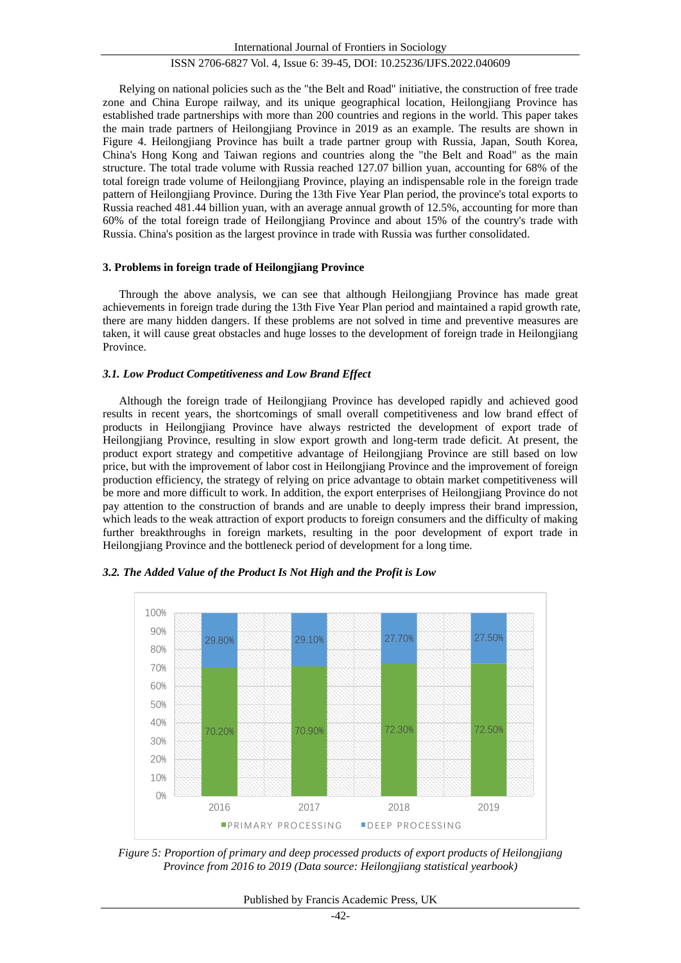Relying on national policies such as the "the Belt and Road" initiative, the construction of free trade zone and China Europe railway, and its unique geographical location, Heilongjiang Province has established trade partnerships with more than 200 countries and regions in the world. This paper takes the main trade partners of Heilongjiang Province in 2019 as an example. The results are shown in Figure 4. Heilongjiang Province has built a trade partner group with Russia, Japan, South Korea, China's Hong Kong and Taiwan regions and countries along the "the Belt and Road" as the main structure. The total trade volume with Russia reached 127.07 billion yuan, accounting for 68% of the total foreign trade volume of Heilongjiang Province, playing an indispensable role in the foreign trade pattern of Heilongjiang Province. During the 13th Five Year Plan period, the province's total exports to Russia reached 481.44 billion yuan, with an average annual growth of 12.5%, accounting for more than 60% of the total foreign trade of Heilongjiang Province and about 15% of the country's trade with Russia. China's position as the largest province in trade with Russia was further consolidated.

## **3. Problems in foreign trade of Heilongjiang Province**

Through the above analysis, we can see that although Heilongjiang Province has made great achievements in foreign trade during the 13th Five Year Plan period and maintained a rapid growth rate, there are many hidden dangers. If these problems are not solved in time and preventive measures are taken, it will cause great obstacles and huge losses to the development of foreign trade in Heilongjiang Province.

## *3.1. Low Product Competitiveness and Low Brand Effect*

Although the foreign trade of Heilongjiang Province has developed rapidly and achieved good results in recent years, the shortcomings of small overall competitiveness and low brand effect of products in Heilongjiang Province have always restricted the development of export trade of Heilongjiang Province, resulting in slow export growth and long-term trade deficit. At present, the product export strategy and competitive advantage of Heilongjiang Province are still based on low price, but with the improvement of labor cost in Heilongjiang Province and the improvement of foreign production efficiency, the strategy of relying on price advantage to obtain market competitiveness will be more and more difficult to work. In addition, the export enterprises of Heilongjiang Province do not pay attention to the construction of brands and are unable to deeply impress their brand impression, which leads to the weak attraction of export products to foreign consumers and the difficulty of making further breakthroughs in foreign markets, resulting in the poor development of export trade in Heilongjiang Province and the bottleneck period of development for a long time.



*3.2. The Added Value of the Product Is Not High and the Profit is Low*

*Figure 5: Proportion of primary and deep processed products of export products of Heilongjiang Province from 2016 to 2019 (Data source: Heilongjiang statistical yearbook)*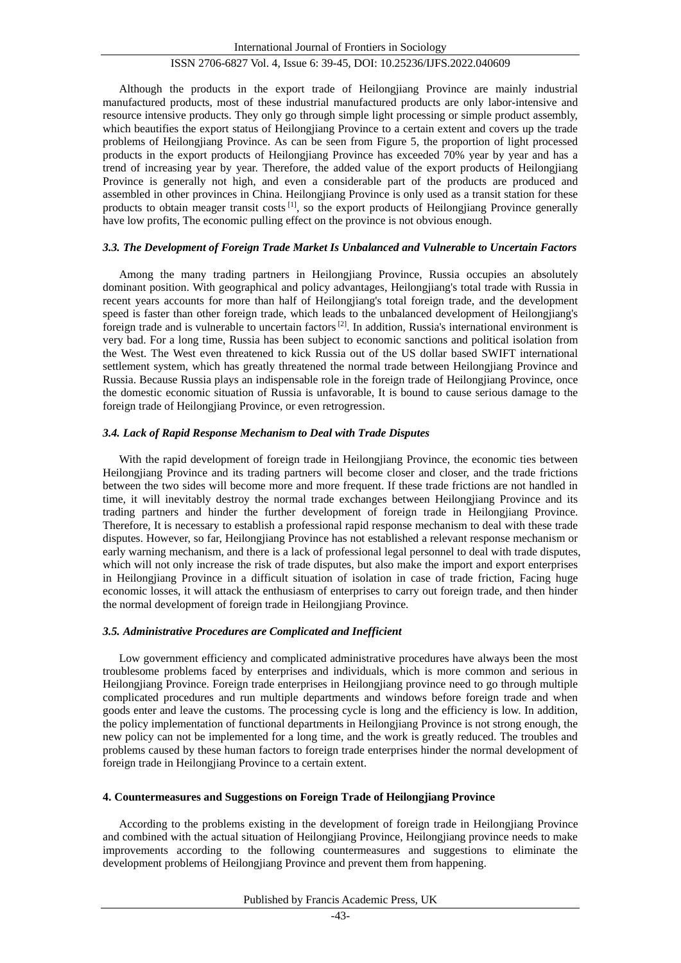Although the products in the export trade of Heilongjiang Province are mainly industrial manufactured products, most of these industrial manufactured products are only labor-intensive and resource intensive products. They only go through simple light processing or simple product assembly, which beautifies the export status of Heilongjiang Province to a certain extent and covers up the trade problems of Heilongjiang Province. As can be seen from Figure 5, the proportion of light processed products in the export products of Heilongjiang Province has exceeded 70% year by year and has a trend of increasing year by year. Therefore, the added value of the export products of Heilongjiang Province is generally not high, and even a considerable part of the products are produced and assembled in other provinces in China. Heilongjiang Province is only used as a transit station for these products to obtain meager transit costs<sup>[1]</sup>, so the export products of Heilongjiang Province generally have low profits, The economic pulling effect on the province is not obvious enough.

# *3.3. The Development of Foreign Trade Market Is Unbalanced and Vulnerable to Uncertain Factors*

Among the many trading partners in Heilongjiang Province, Russia occupies an absolutely dominant position. With geographical and policy advantages, Heilongjiang's total trade with Russia in recent years accounts for more than half of Heilongjiang's total foreign trade, and the development speed is faster than other foreign trade, which leads to the unbalanced development of Heilongjiang's foreign trade and is vulnerable to uncertain factors<sup>[2]</sup>. In addition, Russia's international environment is very bad. For a long time, Russia has been subject to economic sanctions and political isolation from the West. The West even threatened to kick Russia out of the US dollar based SWIFT international settlement system, which has greatly threatened the normal trade between Heilongjiang Province and Russia. Because Russia plays an indispensable role in the foreign trade of Heilongjiang Province, once the domestic economic situation of Russia is unfavorable, It is bound to cause serious damage to the foreign trade of Heilongjiang Province, or even retrogression.

#### *3.4. Lack of Rapid Response Mechanism to Deal with Trade Disputes*

With the rapid development of foreign trade in Heilongiiang Province, the economic ties between Heilongjiang Province and its trading partners will become closer and closer, and the trade frictions between the two sides will become more and more frequent. If these trade frictions are not handled in time, it will inevitably destroy the normal trade exchanges between Heilongjiang Province and its trading partners and hinder the further development of foreign trade in Heilongjiang Province. Therefore, It is necessary to establish a professional rapid response mechanism to deal with these trade disputes. However, so far, Heilongjiang Province has not established a relevant response mechanism or early warning mechanism, and there is a lack of professional legal personnel to deal with trade disputes, which will not only increase the risk of trade disputes, but also make the import and export enterprises in Heilongjiang Province in a difficult situation of isolation in case of trade friction, Facing huge economic losses, it will attack the enthusiasm of enterprises to carry out foreign trade, and then hinder the normal development of foreign trade in Heilongjiang Province.

# *3.5. Administrative Procedures are Complicated and Inefficient*

Low government efficiency and complicated administrative procedures have always been the most troublesome problems faced by enterprises and individuals, which is more common and serious in Heilongjiang Province. Foreign trade enterprises in Heilongjiang province need to go through multiple complicated procedures and run multiple departments and windows before foreign trade and when goods enter and leave the customs. The processing cycle is long and the efficiency is low. In addition, the policy implementation of functional departments in Heilongjiang Province is not strong enough, the new policy can not be implemented for a long time, and the work is greatly reduced. The troubles and problems caused by these human factors to foreign trade enterprises hinder the normal development of foreign trade in Heilongjiang Province to a certain extent.

#### **4. Countermeasures and Suggestions on Foreign Trade of Heilongjiang Province**

According to the problems existing in the development of foreign trade in Heilongjiang Province and combined with the actual situation of Heilongjiang Province, Heilongjiang province needs to make improvements according to the following countermeasures and suggestions to eliminate the development problems of Heilongjiang Province and prevent them from happening.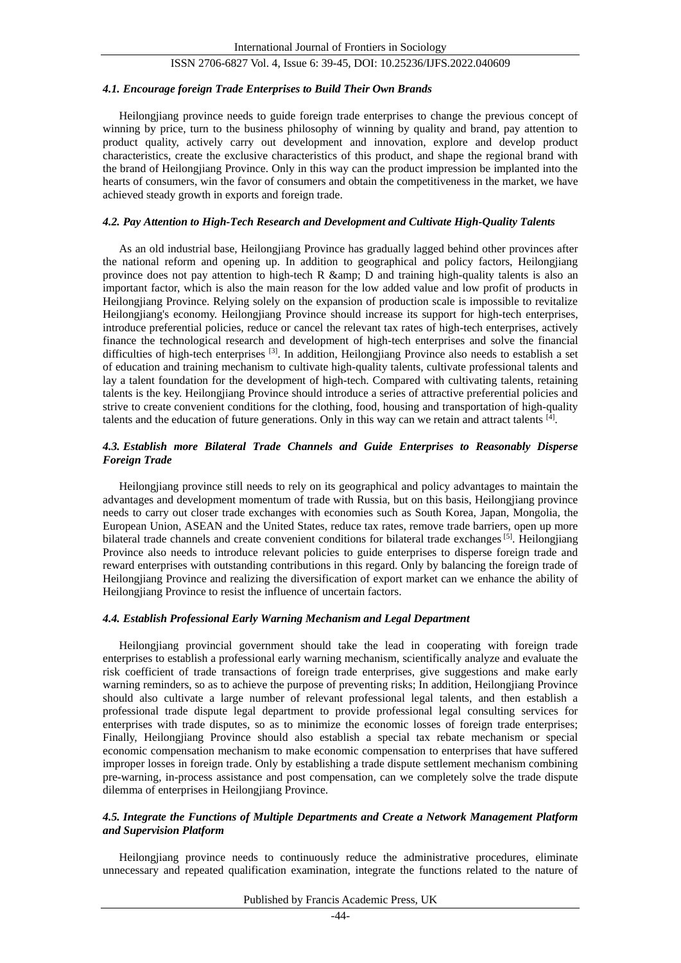#### *4.1. Encourage foreign Trade Enterprises to Build Their Own Brands*

Heilongjiang province needs to guide foreign trade enterprises to change the previous concept of winning by price, turn to the business philosophy of winning by quality and brand, pay attention to product quality, actively carry out development and innovation, explore and develop product characteristics, create the exclusive characteristics of this product, and shape the regional brand with the brand of Heilongjiang Province. Only in this way can the product impression be implanted into the hearts of consumers, win the favor of consumers and obtain the competitiveness in the market, we have achieved steady growth in exports and foreign trade.

## *4.2. Pay Attention to High-Tech Research and Development and Cultivate High-Quality Talents*

As an old industrial base, Heilongjiang Province has gradually lagged behind other provinces after the national reform and opening up. In addition to geographical and policy factors, Heilongjiang province does not pay attention to high-tech R & amp; D and training high-quality talents is also an important factor, which is also the main reason for the low added value and low profit of products in Heilongjiang Province. Relying solely on the expansion of production scale is impossible to revitalize Heilongjiang's economy. Heilongjiang Province should increase its support for high-tech enterprises, introduce preferential policies, reduce or cancel the relevant tax rates of high-tech enterprises, actively finance the technological research and development of high-tech enterprises and solve the financial difficulties of high-tech enterprises <sup>[3]</sup>. In addition, Heilongjiang Province also needs to establish a set of education and training mechanism to cultivate high-quality talents, cultivate professional talents and lay a talent foundation for the development of high-tech. Compared with cultivating talents, retaining talents is the key. Heilongjiang Province should introduce a series of attractive preferential policies and strive to create convenient conditions for the clothing, food, housing and transportation of high-quality talents and the education of future generations. Only in this way can we retain and attract talents [4] .

# *4.3. Establish more Bilateral Trade Channels and Guide Enterprises to Reasonably Disperse Foreign Trade*

Heilongjiang province still needs to rely on its geographical and policy advantages to maintain the advantages and development momentum of trade with Russia, but on this basis, Heilongjiang province needs to carry out closer trade exchanges with economies such as South Korea, Japan, Mongolia, the European Union, ASEAN and the United States, reduce tax rates, remove trade barriers, open up more bilateral trade channels and create convenient conditions for bilateral trade exchanges<sup>[5]</sup>. Heilongjiang Province also needs to introduce relevant policies to guide enterprises to disperse foreign trade and reward enterprises with outstanding contributions in this regard. Only by balancing the foreign trade of Heilongjiang Province and realizing the diversification of export market can we enhance the ability of Heilongjiang Province to resist the influence of uncertain factors.

## *4.4. Establish Professional Early Warning Mechanism and Legal Department*

Heilongjiang provincial government should take the lead in cooperating with foreign trade enterprises to establish a professional early warning mechanism, scientifically analyze and evaluate the risk coefficient of trade transactions of foreign trade enterprises, give suggestions and make early warning reminders, so as to achieve the purpose of preventing risks; In addition, Heilongjiang Province should also cultivate a large number of relevant professional legal talents, and then establish a professional trade dispute legal department to provide professional legal consulting services for enterprises with trade disputes, so as to minimize the economic losses of foreign trade enterprises; Finally, Heilongjiang Province should also establish a special tax rebate mechanism or special economic compensation mechanism to make economic compensation to enterprises that have suffered improper losses in foreign trade. Only by establishing a trade dispute settlement mechanism combining pre-warning, in-process assistance and post compensation, can we completely solve the trade dispute dilemma of enterprises in Heilongjiang Province.

## *4.5. Integrate the Functions of Multiple Departments and Create a Network Management Platform and Supervision Platform*

Heilongjiang province needs to continuously reduce the administrative procedures, eliminate unnecessary and repeated qualification examination, integrate the functions related to the nature of